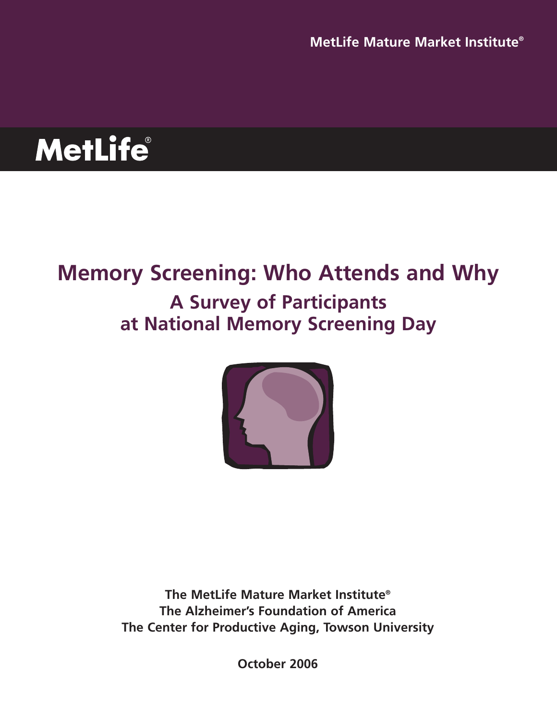**MetLife** 

# **Memory Screening: Who Attends and Why A Survey of Participants at National Memory Screening Day**



**The MetLife Mature Market Institute® The Alzheimer's Foundation of America The Center for Productive Aging, Towson University**

**October 2006**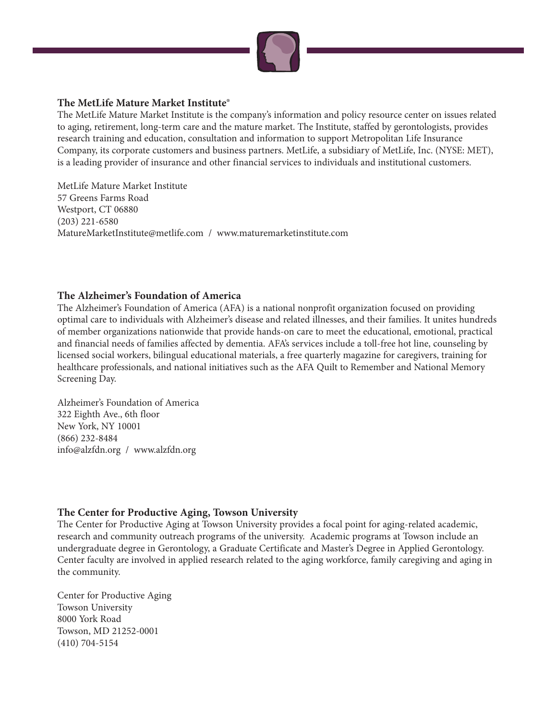

### **The MetLife Mature Market Institute®**

The MetLife Mature Market Institute is the company's information and policy resource center on issues related to aging, retirement, long-term care and the mature market. The Institute, staffed by gerontologists, provides research training and education, consultation and information to support Metropolitan Life Insurance Company, its corporate customers and business partners. MetLife, a subsidiary of MetLife, Inc. (NYSE: MET), is a leading provider of insurance and other financial services to individuals and institutional customers.

MetLife Mature Market Institute 57 Greens Farms Road Westport, CT 06880 (203) 221-6580 MatureMarketInstitute@metlife.com / www.maturemarketinstitute.com

#### **The Alzheimer's Foundation of America**

The Alzheimer's Foundation of America (AFA) is a national nonprofit organization focused on providing optimal care to individuals with Alzheimer's disease and related illnesses, and their families. It unites hundreds of member organizations nationwide that provide hands-on care to meet the educational, emotional, practical and financial needs of families affected by dementia. AFA's services include a toll-free hot line, counseling by licensed social workers, bilingual educational materials, a free quarterly magazine for caregivers, training for healthcare professionals, and national initiatives such as the AFA Quilt to Remember and National Memory Screening Day.

Alzheimer's Foundation of America 322 Eighth Ave., 6th floor New York, NY 10001 (866) 232-8484 info@alzfdn.org / www.alzfdn.org

#### **The Center for Productive Aging, Towson University**

The Center for Productive Aging at Towson University provides a focal point for aging-related academic, research and community outreach programs of the university. Academic programs at Towson include an undergraduate degree in Gerontology, a Graduate Certificate and Master's Degree in Applied Gerontology. Center faculty are involved in applied research related to the aging workforce, family caregiving and aging in the community.

Center for Productive Aging Towson University 8000 York Road Towson, MD 21252-0001 (410) 704-5154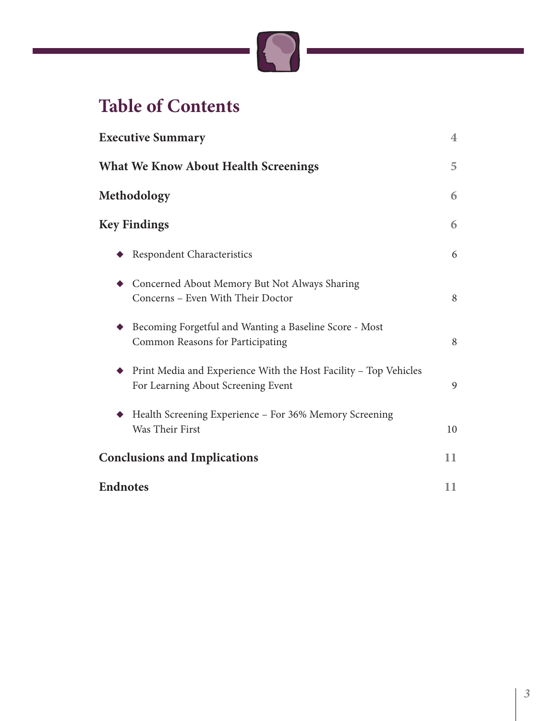

# **Table of Contents**

| <b>Executive Summary</b>                                                                               | $\overline{4}$ |
|--------------------------------------------------------------------------------------------------------|----------------|
| <b>What We Know About Health Screenings</b>                                                            | 5              |
| Methodology                                                                                            | 6              |
| <b>Key Findings</b>                                                                                    | 6              |
| Respondent Characteristics                                                                             | 6              |
| Concerned About Memory But Not Always Sharing<br>Concerns - Even With Their Doctor                     | 8              |
| Becoming Forgetful and Wanting a Baseline Score - Most<br>Common Reasons for Participating             | 8              |
| Print Media and Experience With the Host Facility - Top Vehicles<br>For Learning About Screening Event | 9              |
| Health Screening Experience - For 36% Memory Screening<br>Was Their First                              | 10             |
| <b>Conclusions and Implications</b>                                                                    | 11             |
| <b>Endnotes</b>                                                                                        | 11             |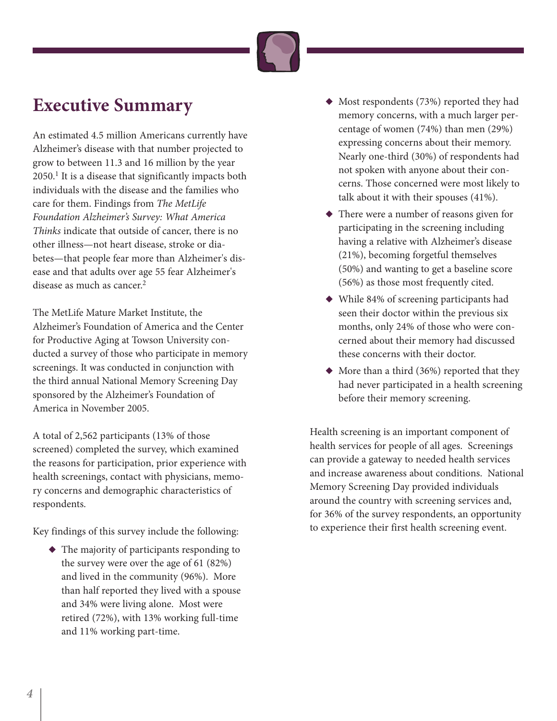

## **Executive Summary**

An estimated 4.5 million Americans currently have Alzheimer's disease with that number projected to grow to between 11.3 and 16 million by the year  $2050<sup>1</sup>$  It is a disease that significantly impacts both individuals with the disease and the families who care for them. Findings from The MetLife Foundation Alzheimer's Survey: What America Thinks indicate that outside of cancer, there is no other illness—not heart disease, stroke or diabetes—that people fear more than Alzheimer's disease and that adults over age 55 fear Alzheimer's disease as much as cancer.<sup>2</sup>

The MetLife Mature Market Institute, the Alzheimer's Foundation of America and the Center for Productive Aging at Towson University conducted a survey of those who participate in memory screenings. It was conducted in conjunction with the third annual National Memory Screening Day sponsored by the Alzheimer's Foundation of America in November 2005.

A total of 2,562 participants (13% of those screened) completed the survey, which examined the reasons for participation, prior experience with health screenings, contact with physicians, memory concerns and demographic characteristics of respondents.

Key findings of this survey include the following:

**◆** The majority of participants responding to the survey were over the age of 61 (82%) and lived in the community (96%). More than half reported they lived with a spouse and 34% were living alone. Most were retired (72%), with 13% working full-time and 11% working part-time.

- ◆ Most respondents (73%) reported they had memory concerns, with a much larger percentage of women (74%) than men (29%) expressing concerns about their memory. Nearly one-third (30%) of respondents had not spoken with anyone about their concerns. Those concerned were most likely to talk about it with their spouses (41%).
- **◆** There were a number of reasons given for participating in the screening including having a relative with Alzheimer's disease (21%), becoming forgetful themselves (50%) and wanting to get a baseline score (56%) as those most frequently cited.
- **◆** While 84% of screening participants had seen their doctor within the previous six months, only 24% of those who were concerned about their memory had discussed these concerns with their doctor.
- **◆** More than a third (36%) reported that they had never participated in a health screening before their memory screening.

Health screening is an important component of health services for people of all ages. Screenings can provide a gateway to needed health services and increase awareness about conditions. National Memory Screening Day provided individuals around the country with screening services and, for 36% of the survey respondents, an opportunity to experience their first health screening event.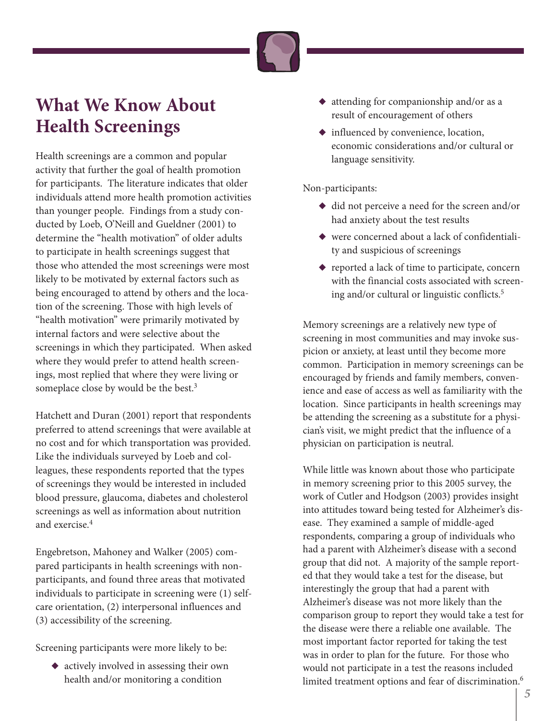

## **What We Know About Health Screenings**

Health screenings are a common and popular activity that further the goal of health promotion for participants. The literature indicates that older individuals attend more health promotion activities than younger people. Findings from a study conducted by Loeb, O'Neill and Gueldner (2001) to determine the "health motivation" of older adults to participate in health screenings suggest that those who attended the most screenings were most likely to be motivated by external factors such as being encouraged to attend by others and the location of the screening. Those with high levels of "health motivation" were primarily motivated by internal factors and were selective about the screenings in which they participated. When asked where they would prefer to attend health screenings, most replied that where they were living or someplace close by would be the best.<sup>3</sup>

Hatchett and Duran (2001) report that respondents preferred to attend screenings that were available at no cost and for which transportation was provided. Like the individuals surveyed by Loeb and colleagues, these respondents reported that the types of screenings they would be interested in included blood pressure, glaucoma, diabetes and cholesterol screenings as well as information about nutrition and exercise.4

Engebretson, Mahoney and Walker (2005) compared participants in health screenings with nonparticipants, and found three areas that motivated individuals to participate in screening were (1) selfcare orientation, (2) interpersonal influences and (3) accessibility of the screening.

Screening participants were more likely to be:

◆ actively involved in assessing their own health and/or monitoring a condition

- **◆** attending for companionship and/or as a result of encouragement of others
- **◆** influenced by convenience, location, economic considerations and/or cultural or language sensitivity.

Non-participants:

- ◆ did not perceive a need for the screen and/or had anxiety about the test results
- ◆ were concerned about a lack of confidentiality and suspicious of screenings
- **◆** reported a lack of time to participate, concern with the financial costs associated with screening and/or cultural or linguistic conflicts.5

Memory screenings are a relatively new type of screening in most communities and may invoke suspicion or anxiety, at least until they become more common. Participation in memory screenings can be encouraged by friends and family members, convenience and ease of access as well as familiarity with the location. Since participants in health screenings may be attending the screening as a substitute for a physician's visit, we might predict that the influence of a physician on participation is neutral.

While little was known about those who participate in memory screening prior to this 2005 survey, the work of Cutler and Hodgson (2003) provides insight into attitudes toward being tested for Alzheimer's disease. They examined a sample of middle-aged respondents, comparing a group of individuals who had a parent with Alzheimer's disease with a second group that did not. A majority of the sample reported that they would take a test for the disease, but interestingly the group that had a parent with Alzheimer's disease was not more likely than the comparison group to report they would take a test for the disease were there a reliable one available. The most important factor reported for taking the test was in order to plan for the future. For those who would not participate in a test the reasons included limited treatment options and fear of discrimination.<sup>6</sup>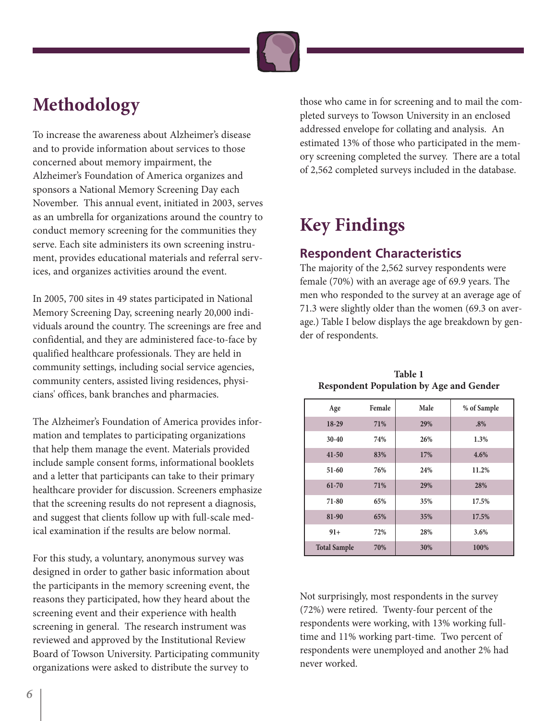

# **Methodology**

To increase the awareness about Alzheimer's disease and to provide information about services to those concerned about memory impairment, the Alzheimer's Foundation of America organizes and sponsors a National Memory Screening Day each November. This annual event, initiated in 2003, serves as an umbrella for organizations around the country to conduct memory screening for the communities they serve. Each site administers its own screening instrument, provides educational materials and referral services, and organizes activities around the event.

In 2005, 700 sites in 49 states participated in National Memory Screening Day, screening nearly 20,000 individuals around the country. The screenings are free and confidential, and they are administered face-to-face by qualified healthcare professionals. They are held in community settings, including social service agencies, community centers, assisted living residences, physicians' offices, bank branches and pharmacies.

The Alzheimer's Foundation of America provides information and templates to participating organizations that help them manage the event. Materials provided include sample consent forms, informational booklets and a letter that participants can take to their primary healthcare provider for discussion. Screeners emphasize that the screening results do not represent a diagnosis, and suggest that clients follow up with full-scale medical examination if the results are below normal.

For this study, a voluntary, anonymous survey was designed in order to gather basic information about the participants in the memory screening event, the reasons they participated, how they heard about the screening event and their experience with health screening in general. The research instrument was reviewed and approved by the Institutional Review Board of Towson University. Participating community organizations were asked to distribute the survey to

those who came in for screening and to mail the completed surveys to Towson University in an enclosed addressed envelope for collating and analysis. An estimated 13% of those who participated in the memory screening completed the survey. There are a total of 2,562 completed surveys included in the database.

# **Key Findings**

## **Respondent Characteristics**

The majority of the 2,562 survey respondents were female (70%) with an average age of 69.9 years. The men who responded to the survey at an average age of 71.3 were slightly older than the women (69.3 on average.) Table I below displays the age breakdown by gender of respondents.

| Age                 | Female | Male | % of Sample |
|---------------------|--------|------|-------------|
| 18-29               | 71%    | 29%  | .8%         |
| $30 - 40$           | 74%    | 26%  | 1.3%        |
| $41 - 50$           | 83%    | 17%  | 4.6%        |
| $51 - 60$           | 76%    | 24%  | 11.2%       |
| $61 - 70$           | 71%    | 29%  | 28%         |
| 71-80               | 65%    | 35%  | 17.5%       |
| 81-90               | 65%    | 35%  | 17.5%       |
| $91+$               | 72%    | 28%  | 3.6%        |
| <b>Total Sample</b> | 70%    | 30%  | 100%        |

**Table 1 Respondent Population by Age and Gender**

Not surprisingly, most respondents in the survey (72%) were retired. Twenty-four percent of the respondents were working, with 13% working fulltime and 11% working part-time. Two percent of respondents were unemployed and another 2% had never worked.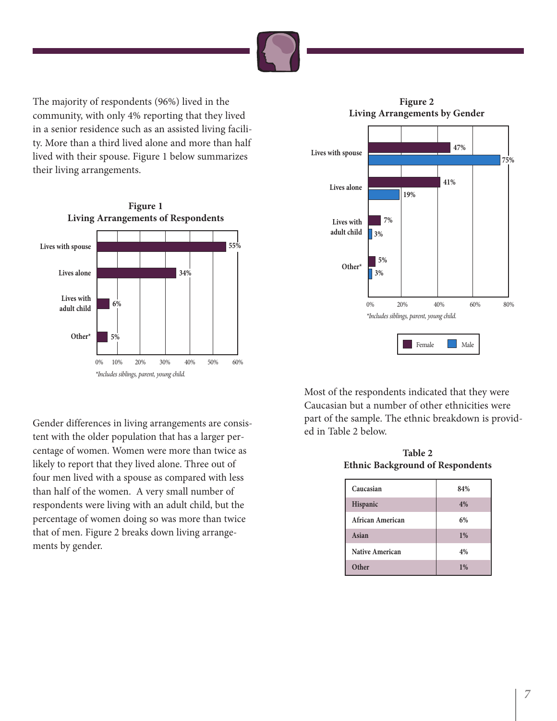

The majority of respondents (96%) lived in the community, with only 4% reporting that they lived in a senior residence such as an assisted living facility. More than a third lived alone and more than half lived with their spouse. Figure 1 below summarizes their living arrangements.



**Figure 2 Living Arrangements by Gender**



Gender differences in living arrangements are consistent with the older population that has a larger percentage of women. Women were more than twice as likely to report that they lived alone. Three out of four men lived with a spouse as compared with less than half of the women. A very small number of respondents were living with an adult child, but the percentage of women doing so was more than twice that of men. Figure 2 breaks down living arrangements by gender.

Most of the respondents indicated that they were Caucasian but a number of other ethnicities were part of the sample. The ethnic breakdown is provided in Table 2 below.

**Table 2 Ethnic Background of Respondents**

| Caucasian        | 84%   |
|------------------|-------|
| Hispanic         | 4%    |
| African American | 6%    |
| Asian            | $1\%$ |
| Native American  | 4%    |
| Other            | 1%    |
|                  |       |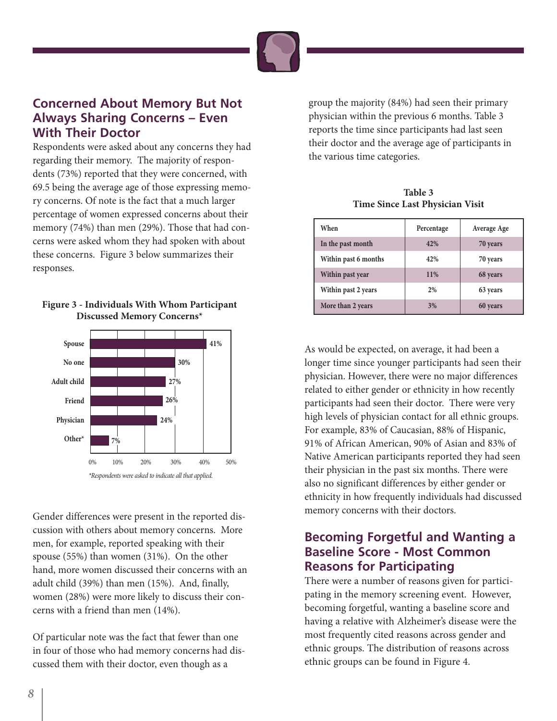

### **Concerned About Memory But Not Always Sharing Concerns – Even With Their Doctor**

Respondents were asked about any concerns they had regarding their memory. The majority of respondents (73%) reported that they were concerned, with 69.5 being the average age of those expressing memory concerns. Of note is the fact that a much larger percentage of women expressed concerns about their memory (74%) than men (29%). Those that had concerns were asked whom they had spoken with about these concerns. Figure 3 below summarizes their responses.



#### **Figure 3 - Individuals With Whom Participant Discussed Memory Concerns\***

Gender differences were present in the reported discussion with others about memory concerns. More men, for example, reported speaking with their spouse (55%) than women (31%). On the other hand, more women discussed their concerns with an adult child (39%) than men (15%). And, finally, women (28%) were more likely to discuss their concerns with a friend than men (14%).

Of particular note was the fact that fewer than one in four of those who had memory concerns had discussed them with their doctor, even though as a

group the majority (84%) had seen their primary physician within the previous 6 months. Table 3 reports the time since participants had last seen their doctor and the average age of participants in the various time categories.

**Table 3 Time Since Last Physician Visit**

| When                 | Percentage | Average Age |
|----------------------|------------|-------------|
| In the past month    | 42%        | 70 years    |
| Within past 6 months | 42%        | 70 years    |
| Within past year     | 11%        | 68 years    |
| Within past 2 years  | 2%         | 63 years    |
| More than 2 years    | 3%         | 60 years    |

As would be expected, on average, it had been a longer time since younger participants had seen their physician. However, there were no major differences related to either gender or ethnicity in how recently participants had seen their doctor. There were very high levels of physician contact for all ethnic groups. For example, 83% of Caucasian, 88% of Hispanic, 91% of African American, 90% of Asian and 83% of Native American participants reported they had seen their physician in the past six months. There were also no significant differences by either gender or ethnicity in how frequently individuals had discussed memory concerns with their doctors.

## **Becoming Forgetful and Wanting a Baseline Score - Most Common Reasons for Participating**

There were a number of reasons given for participating in the memory screening event. However, becoming forgetful, wanting a baseline score and having a relative with Alzheimer's disease were the most frequently cited reasons across gender and ethnic groups. The distribution of reasons across ethnic groups can be found in Figure 4.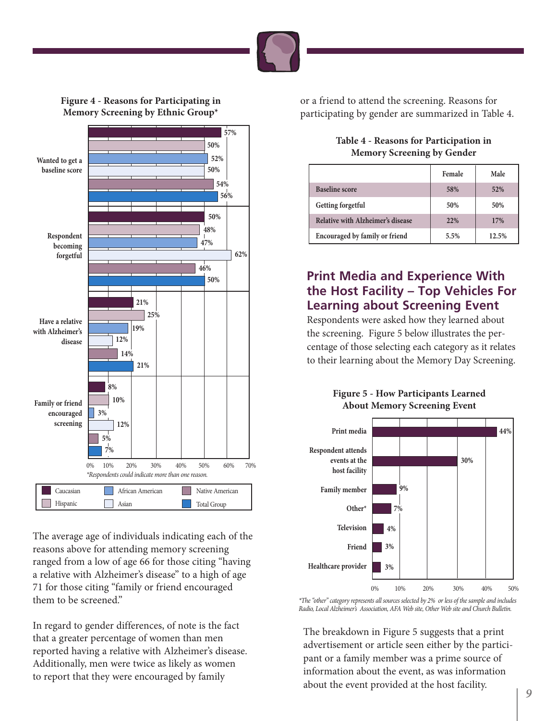

### **Figure 4 - Reasons for Participating in Memory Screening by Ethnic Group\***



The average age of individuals indicating each of the reasons above for attending memory screening ranged from a low of age 66 for those citing "having a relative with Alzheimer's disease" to a high of age 71 for those citing "family or friend encouraged them to be screened."

In regard to gender differences, of note is the fact that a greater percentage of women than men reported having a relative with Alzheimer's disease. Additionally, men were twice as likely as women to report that they were encouraged by family

or a friend to attend the screening. Reasons for participating by gender are summarized in Table 4.

#### **Table 4 - Reasons for Participation in Memory Screening by Gender**

|                                   | Female     | Male  |
|-----------------------------------|------------|-------|
| <b>Baseline score</b>             | 58%        | 52%   |
| Getting forgetful                 | 50%        | 50%   |
| Relative with Alzheimer's disease | <b>22%</b> | 17%   |
| Encouraged by family or friend    | 5.5%       | 12.5% |

## **Print Media and Experience With the Host Facility – Top Vehicles For Learning about Screening Event**

Respondents were asked how they learned about the screening. Figure 5 below illustrates the percentage of those selecting each category as it relates to their learning about the Memory Day Screening.





\*The "other" category represents all sources selected by 2% or less of the sample and includes Radio, Local Alzheimer's Association, AFA Web site, Other Web site and Church Bulletin.

The breakdown in Figure 5 suggests that a print advertisement or article seen either by the participant or a family member was a prime source of information about the event, as was information about the event provided at the host facility.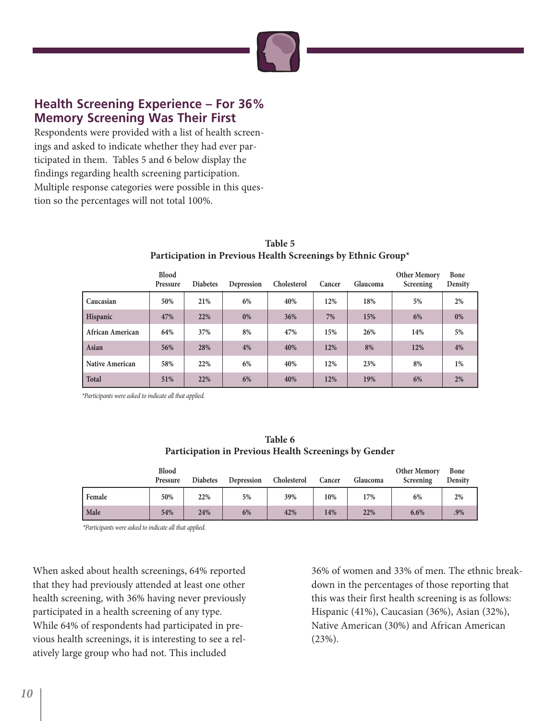

## **Health Screening Experience – For 36% Memory Screening Was Their First**

Respondents were provided with a list of health screenings and asked to indicate whether they had ever participated in them. Tables 5 and 6 below display the findings regarding health screening participation. Multiple response categories were possible in this question so the percentages will not total 100%.

|                         | <b>Blood</b><br>Pressure | <b>Diabetes</b> | Depression | Cholesterol | Cancer | Glaucoma | <b>Other Memory</b><br>Screening | Bone<br>Density |
|-------------------------|--------------------------|-----------------|------------|-------------|--------|----------|----------------------------------|-----------------|
| Caucasian               | 50%                      | 21%             | 6%         | 40%         | 12%    | 18%      | 5%                               | 2%              |
| Hispanic                | 47%                      | 22%             | $0\%$      | 36%         | 7%     | 15%      | 6%                               | 0%              |
| <b>African American</b> | 64%                      | 37%             | 8%         | 47%         | 15%    | 26%      | 14%                              | 5%              |
| Asian                   | 56%                      | 28%             | 4%         | 40%         | 12%    | 8%       | 12%                              | 4%              |
| <b>Native American</b>  | 58%                      | 22%             | 6%         | 40%         | 12%    | 23%      | 8%                               | 1%              |
| Total                   | 51%                      | 22%             | 6%         | 40%         | 12%    | 19%      | 6%                               | $2\%$           |

#### **Table 5 Participation in Previous Health Screenings by Ethnic Group\***

\*Participants were asked to indicate all that applied.

| Table 6                                               |
|-------------------------------------------------------|
| Participation in Previous Health Screenings by Gender |

|        | Blood<br>Pressure | <b>Diabetes</b> | Depression | Cholesterol | Cancer | Glaucoma | <b>Other Memory</b><br>Screening | Bone<br>Density |
|--------|-------------------|-----------------|------------|-------------|--------|----------|----------------------------------|-----------------|
| Female | 50%               | 22%             | 5%         | 39%         | 10%    | 17%      | 6%                               | 2%              |
| Male   | 54%               | 24%             | 6%         | 42%         | 14%    | 22%      | 6.6%                             | .9%             |

\*Participants were asked to indicate all that applied.

When asked about health screenings, 64% reported that they had previously attended at least one other health screening, with 36% having never previously participated in a health screening of any type. While 64% of respondents had participated in previous health screenings, it is interesting to see a relatively large group who had not. This included

36% of women and 33% of men. The ethnic breakdown in the percentages of those reporting that this was their first health screening is as follows: Hispanic (41%), Caucasian (36%), Asian (32%), Native American (30%) and African American (23%).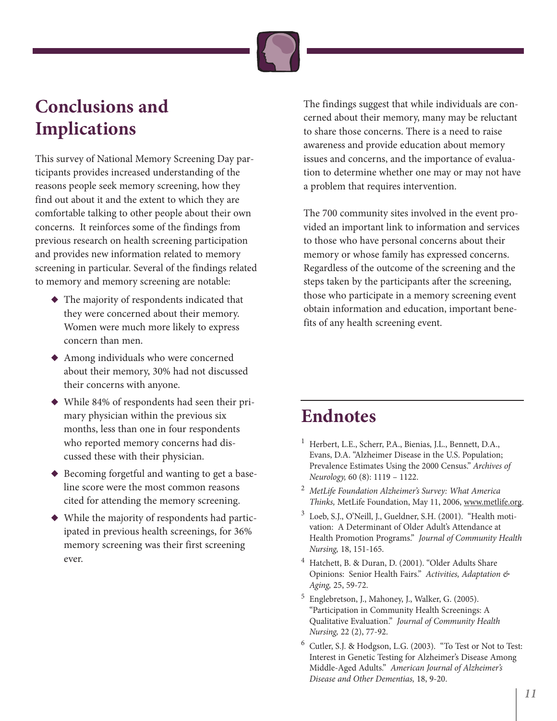

## **Conclusions and Implications**

This survey of National Memory Screening Day participants provides increased understanding of the reasons people seek memory screening, how they find out about it and the extent to which they are comfortable talking to other people about their own concerns. It reinforces some of the findings from previous research on health screening participation and provides new information related to memory screening in particular. Several of the findings related to memory and memory screening are notable:

- **◆** The majority of respondents indicated that they were concerned about their memory. Women were much more likely to express concern than men.
- ◆ Among individuals who were concerned about their memory, 30% had not discussed their concerns with anyone.
- ◆ While 84% of respondents had seen their primary physician within the previous six months, less than one in four respondents who reported memory concerns had discussed these with their physician.
- ◆ Becoming forgetful and wanting to get a baseline score were the most common reasons cited for attending the memory screening.
- ◆ While the majority of respondents had participated in previous health screenings, for 36% memory screening was their first screening ever.

The findings suggest that while individuals are concerned about their memory, many may be reluctant to share those concerns. There is a need to raise awareness and provide education about memory issues and concerns, and the importance of evaluation to determine whether one may or may not have a problem that requires intervention.

The 700 community sites involved in the event provided an important link to information and services to those who have personal concerns about their memory or whose family has expressed concerns. Regardless of the outcome of the screening and the steps taken by the participants after the screening, those who participate in a memory screening event obtain information and education, important benefits of any health screening event.

## **Endnotes**

- <sup>1</sup> Herbert, L.E., Scherr, P.A., Bienias, J.L., Bennett, D.A., Evans, D.A. "Alzheimer Disease in the U.S. Population; Prevalence Estimates Using the 2000 Census." Archives of Neurology, 60 (8): 1119 – 1122.
- <sup>2</sup> MetLife Foundation Alzheimer's Survey: What America Thinks, MetLife Foundation, May 11, 2006, www.metlife.org.
- <sup>3</sup> Loeb, S.J., O'Neill, J., Gueldner, S.H. (2001). "Health motivation: A Determinant of Older Adult's Attendance at Health Promotion Programs." Journal of Community Health Nursing, 18, 151-165.
- <sup>4</sup> Hatchett, B. & Duran, D. (2001). "Older Adults Share Opinions: Senior Health Fairs." Activities, Adaptation & Aging, 25, 59-72.
- <sup>5</sup> Englebretson, J., Mahoney, J., Walker, G. (2005). "Participation in Community Health Screenings: A Qualitative Evaluation." Journal of Community Health Nursing, 22 (2), 77-92.
- <sup>6</sup> Cutler, S.J. & Hodgson, L.G. (2003). "To Test or Not to Test: Interest in Genetic Testing for Alzheimer's Disease Among Middle-Aged Adults." American Journal of Alzheimer's Disease and Other Dementias, 18, 9-20.